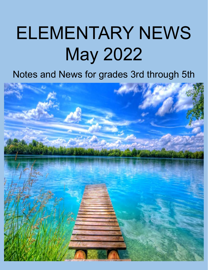# ELEMENTARY NEWS May 2022

# Notes and News for grades 3rd through 5th

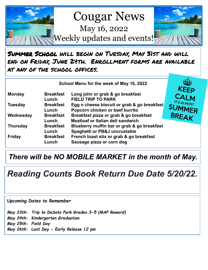

Summer School will begin on Tuesday, May 31st and will end on Friday, June 24th. Enrollment forms are available at any of the school offices.

|                 | School Menu for the week of May 16, 2022 |                                                                                         |                              |
|-----------------|------------------------------------------|-----------------------------------------------------------------------------------------|------------------------------|
| <b>Monday</b>   | <b>Breakfast</b><br>Lunch                | Long john or grab & go breakfast<br><b>FIELD TRIP TO PARK</b>                           | <b>KEEP</b><br>CALM          |
| <b>Tuesday</b>  | <b>Breakfast</b><br>Lunch                | Egg n cheese biscuit or grab & go breakfast<br>Popcorn chicken or beef burrito          | IT'S ALMOST<br><b>SUMMER</b> |
| Wednesday       | <b>Breakfast</b><br>Lunch                | Breakfast pizza or grab & go breakfast<br>Meatloaf or Italian deli sandwich             |                              |
| <b>Thursday</b> | <b>Breakfast</b><br>Lunch                | Blueberry muffin bar or grab & go breakfast<br><b>Spaghetti or PB&amp;J uncrustable</b> |                              |
| <b>Friday</b>   | <b>Breakfast</b><br>Lunch                | French toast stix or grab & go breakfast<br>Sausage pizza or corn dog                   |                              |

## *There will be NO MOBILE MARKET in the month of May.*

## *Reading Counts Book Return Due Date 5/20/22.*

#### *Upcoming Dates to Remember*

*May 23th: Trip to DeSoto Park Grades 3-5 (MAP Reward) May 24th: Kindergarten Graduation May 25th: Field Day May 26th: Last Day - Early Release 12 pm*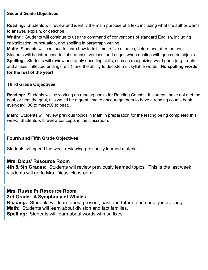#### **Second Grade Objectives**

**Reading:** Students will review and identify the main purpose of a text, including what the author wants to answer, explain, or describe.

**Writing:** Students will continue to use the command of conventions of standard English, including capitalization, punctuation, and spelling in paragraph writing.

**Math:** Students will continue to learn how to tell time to five minutes, before and after the hour. Students will be introduced to flat surfaces, vertices, and edges when dealing with geometric objects. **Spelling:** Students will review and apply decoding skills, such as recognizing word parts (e.g., roots and affixes, inflected endings, etc.) and the ability to decode multisyllable words. **No spelling words for the rest of the year!**

#### **Third Grade Objectives**

**Reading:** Students will be working on reading books for Reading Counts. If students have not met the goal, or beat the goal, this would be a great time to encourage them to have a reading counts book everyday! 36 to meet/60 to beat.

**Math:** Students will review previous topics in Math in preparation for the testing being completed this week. Students will review concepts in the classroom.

#### **Fourth and Fifth Grade Objectives**

Students will spend the week reviewing previously learned material.

#### **Mrs. Dicus' Resource Room**

**4th & 5th Grades:** Students will review previously learned topics. This is the last week students will go to Mrs. Dicus' classroom.

#### **Mrs. Russell's Resource Room 3rd Grade: A Symphony of Whales**

**Reading:** Students will learn about present, past and future tense and generalizing.

**Math:** Students will learn about division and fact families.

**Spelling:** Students will learn about words with suffixes*.*